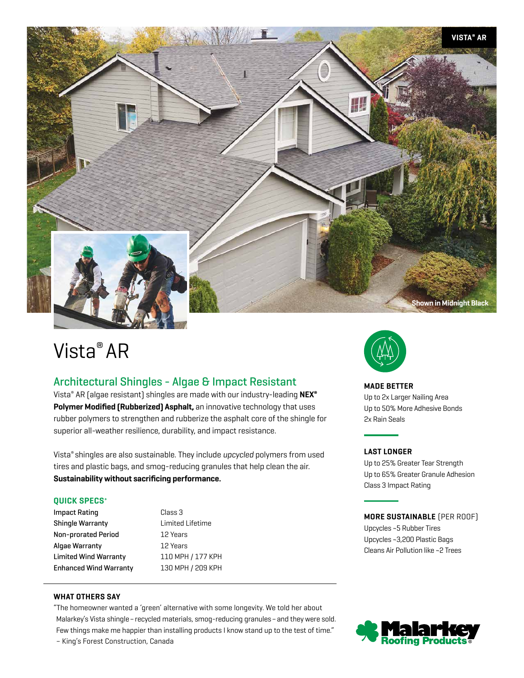

# Vista® AR

# Architectural Shingles - Algae & Impact Resistant

Vista® AR (algae resistant) shingles are made with our industry-leading **NEX® Polymer Modified (Rubberized) Asphalt,** an innovative technology that uses rubber polymers to strengthen and rubberize the asphalt core of the shingle for superior all-weather resilience, durability, and impact resistance.

Vista® shingles are also sustainable. They include *upcycled* polymers from used tires and plastic bags, and smog-reducing granules that help clean the air. **Sustainability without sacrificing performance.**

# **QUICK SPECS+**

| Impact Rating                 | Class 3           |
|-------------------------------|-------------------|
| Shingle Warranty              | Limited Lifetime  |
| Non-prorated Period           | 12 Years          |
| Algae Warranty                | 12 Years          |
| Limited Wind Warranty         | 110 MPH / 177 KPH |
| <b>Enhanced Wind Warranty</b> | 130 MPH / 209 KPH |

### **WHAT OTHERS SAY**

"The homeowner wanted a 'green' alternative with some longevity. We told her about Malarkey's Vista shingle – recycled materials, smog-reducing granules – and they were sold. Few things make me happier than installing products I know stand up to the test of time." – King's Forest Construction, Canada



# **MADE BETTER**

Up to 2x Larger Nailing Area Up to 50% More Adhesive Bonds 2x Rain Seals

# **LAST LONGER**

Up to 25% Greater Tear Strength Up to 65% Greater Granule Adhesion Class 3 Impact Rating

# **MORE SUSTAINABLE** (PER ROOF)

Upcycles ~5 Rubber Tires Upcycles ~3,200 Plastic Bags Cleans Air Pollution like ~2 Trees